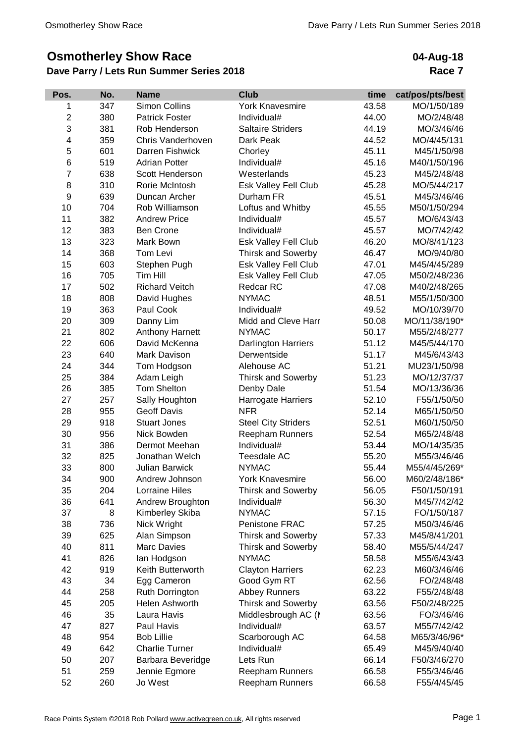## **Osmotherley Show Race**

## **Dave Parry / Lets Run Summer Series 2018**

**04-Aug-18 Race 7**

| Pos.           | No. | <b>Name</b>           | <b>Club</b>                 | time  | cat/pos/pts/best |
|----------------|-----|-----------------------|-----------------------------|-------|------------------|
| 1              | 347 | Simon Collins         | <b>York Knavesmire</b>      | 43.58 | MO/1/50/189      |
| $\overline{2}$ | 380 | <b>Patrick Foster</b> | Individual#                 | 44.00 | MO/2/48/48       |
| 3              | 381 | Rob Henderson         | <b>Saltaire Striders</b>    | 44.19 | MO/3/46/46       |
| 4              | 359 | Chris Vanderhoven     | Dark Peak                   | 44.52 | MO/4/45/131      |
| 5              | 601 | Darren Fishwick       | Chorley                     | 45.11 | M45/1/50/98      |
| 6              | 519 | <b>Adrian Potter</b>  | Individual#                 | 45.16 | M40/1/50/196     |
| $\overline{7}$ | 638 | Scott Henderson       | Westerlands                 | 45.23 | M45/2/48/48      |
| 8              | 310 | Rorie McIntosh        | Esk Valley Fell Club        | 45.28 | MO/5/44/217      |
| 9              | 639 | Duncan Archer         | Durham FR                   | 45.51 | M45/3/46/46      |
| 10             | 704 | Rob Williamson        | Loftus and Whitby           | 45.55 | M50/1/50/294     |
| 11             | 382 | <b>Andrew Price</b>   | Individual#                 | 45.57 | MO/6/43/43       |
| 12             | 383 | <b>Ben Crone</b>      | Individual#                 | 45.57 | MO/7/42/42       |
| 13             | 323 | Mark Bown             | <b>Esk Valley Fell Club</b> | 46.20 | MO/8/41/123      |
| 14             | 368 | Tom Levi              | Thirsk and Sowerby          | 46.47 | MO/9/40/80       |
| 15             | 603 | Stephen Pugh          | Esk Valley Fell Club        | 47.01 | M45/4/45/289     |
| 16             | 705 | Tim Hill              | <b>Esk Valley Fell Club</b> | 47.05 | M50/2/48/236     |
| 17             | 502 | <b>Richard Veitch</b> | Redcar RC                   | 47.08 | M40/2/48/265     |
| 18             | 808 | David Hughes          | <b>NYMAC</b>                | 48.51 | M55/1/50/300     |
| 19             | 363 | Paul Cook             | Individual#                 | 49.52 | MO/10/39/70      |
| 20             | 309 | Danny Lim             | Midd and Cleve Harr         | 50.08 | MO/11/38/190*    |
| 21             | 802 | Anthony Harnett       | <b>NYMAC</b>                | 50.17 | M55/2/48/277     |
| 22             | 606 | David McKenna         | Darlington Harriers         | 51.12 | M45/5/44/170     |
| 23             | 640 | Mark Davison          | Derwentside                 | 51.17 | M45/6/43/43      |
| 24             | 344 | Tom Hodgson           | Alehouse AC                 | 51.21 | MU23/1/50/98     |
| 25             | 384 | Adam Leigh            | <b>Thirsk and Sowerby</b>   | 51.23 | MO/12/37/37      |
| 26             | 385 | <b>Tom Shelton</b>    | Denby Dale                  | 51.54 | MO/13/36/36      |
| 27             | 257 | Sally Houghton        | Harrogate Harriers          | 52.10 | F55/1/50/50      |
| 28             | 955 | Geoff Davis           | <b>NFR</b>                  | 52.14 | M65/1/50/50      |
| 29             | 918 | <b>Stuart Jones</b>   | <b>Steel City Striders</b>  | 52.51 | M60/1/50/50      |
| 30             | 956 | Nick Bowden           | <b>Reepham Runners</b>      | 52.54 | M65/2/48/48      |
| 31             | 386 | Dermot Meehan         | Individual#                 | 53.44 | MO/14/35/35      |
| 32             | 825 | Jonathan Welch        | <b>Teesdale AC</b>          | 55.20 | M55/3/46/46      |
| 33             | 800 | <b>Julian Barwick</b> | <b>NYMAC</b>                | 55.44 | M55/4/45/269*    |
| 34             | 900 | Andrew Johnson        | <b>York Knavesmire</b>      | 56.00 | M60/2/48/186*    |
| 35             | 204 | <b>Lorraine Hiles</b> | <b>Thirsk and Sowerby</b>   | 56.05 | F50/1/50/191     |
| 36             | 641 | Andrew Broughton      | Individual#                 | 56.30 | M45/7/42/42      |
| 37             | 8   | Kimberley Skiba       | <b>NYMAC</b>                | 57.15 | FO/1/50/187      |
| 38             | 736 | Nick Wright           | Penistone FRAC              | 57.25 | M50/3/46/46      |
| 39             | 625 | Alan Simpson          | <b>Thirsk and Sowerby</b>   | 57.33 | M45/8/41/201     |
| 40             | 811 | <b>Marc Davies</b>    | <b>Thirsk and Sowerby</b>   | 58.40 | M55/5/44/247     |
| 41             | 826 | lan Hodgson           | <b>NYMAC</b>                | 58.58 | M55/6/43/43      |
| 42             | 919 | Keith Butterworth     | <b>Clayton Harriers</b>     | 62.23 | M60/3/46/46      |
| 43             | 34  | Egg Cameron           | Good Gym RT                 | 62.56 | FO/2/48/48       |
| 44             | 258 | Ruth Dorrington       | <b>Abbey Runners</b>        | 63.22 | F55/2/48/48      |
| 45             | 205 | Helen Ashworth        | <b>Thirsk and Sowerby</b>   | 63.56 | F50/2/48/225     |
| 46             | 35  | Laura Havis           | Middlesbrough AC (I         | 63.56 | FO/3/46/46       |
| 47             | 827 | Paul Havis            | Individual#                 | 63.57 | M55/7/42/42      |
| 48             | 954 | <b>Bob Lillie</b>     | Scarborough AC              | 64.58 | M65/3/46/96*     |
| 49             | 642 | <b>Charlie Turner</b> | Individual#                 | 65.49 | M45/9/40/40      |
| 50             | 207 | Barbara Beveridge     | Lets Run                    | 66.14 | F50/3/46/270     |
| 51             | 259 | Jennie Egmore         | <b>Reepham Runners</b>      | 66.58 | F55/3/46/46      |
| 52             | 260 | Jo West               | <b>Reepham Runners</b>      | 66.58 | F55/4/45/45      |